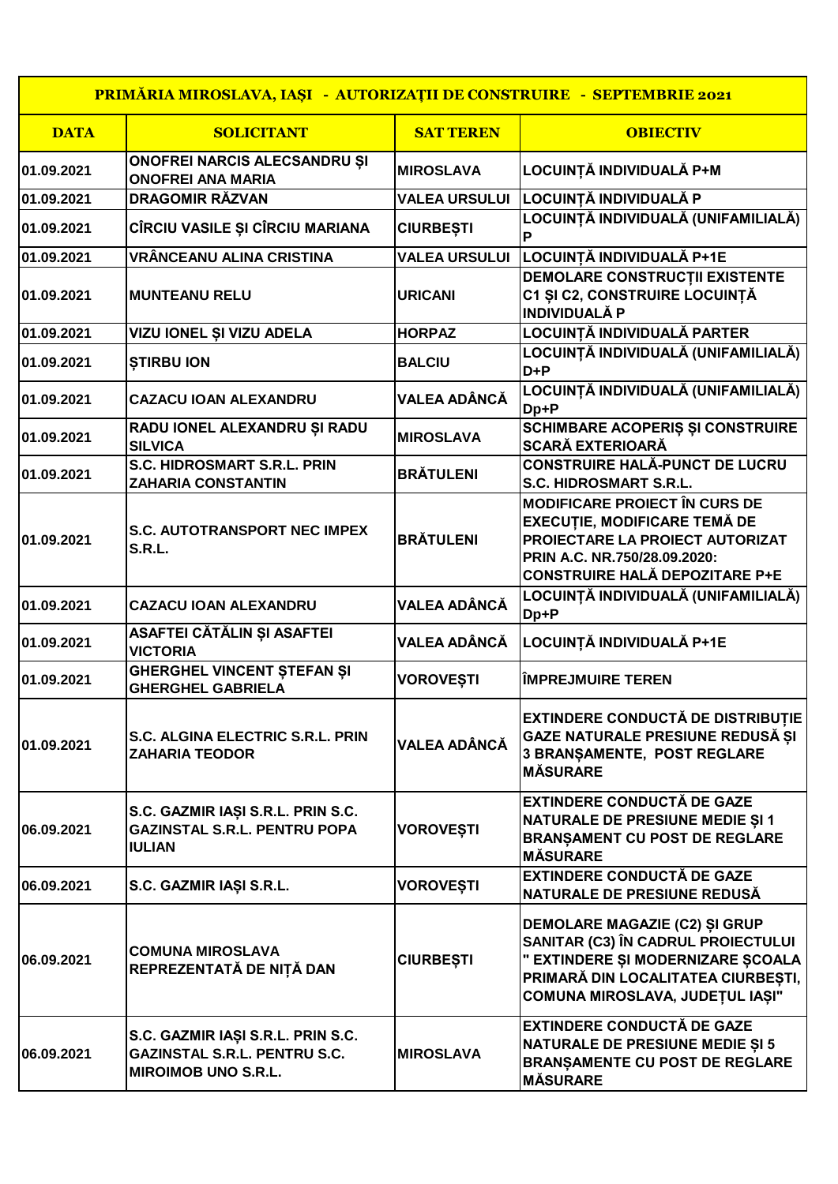| PRIMĂRIA MIROSLAVA, IAȘI - AUTORIZAȚII DE CONSTRUIRE - SEPTEMBRIE 2021 |                                                                                                        |                      |                                                                                                                                                                                         |
|------------------------------------------------------------------------|--------------------------------------------------------------------------------------------------------|----------------------|-----------------------------------------------------------------------------------------------------------------------------------------------------------------------------------------|
| <b>DATA</b>                                                            | <b>SOLICITANT</b>                                                                                      | <b>SAT TEREN</b>     | <b>OBIECTIV</b>                                                                                                                                                                         |
| 01.09.2021                                                             | ONOFREI NARCIS ALECSANDRU ȘI<br><b>ONOFREI ANA MARIA</b>                                               | <b>MIROSLAVA</b>     | LOCUINȚĂ INDIVIDUALĂ P+M                                                                                                                                                                |
| 01.09.2021                                                             | <b>DRAGOMIR RĂZVAN</b>                                                                                 | <b>VALEA URSULUI</b> | LOCUINȚĂ INDIVIDUALĂ P                                                                                                                                                                  |
| 01.09.2021                                                             | CÎRCIU VASILE ȘI CÎRCIU MARIANA                                                                        | <b>CIURBEȘTI</b>     | LOCUINȚĂ INDIVIDUALĂ (UNIFAMILIALĂ)<br>P                                                                                                                                                |
| 01.09.2021                                                             | VRÂNCEANU ALINA CRISTINA                                                                               | <b>VALEA URSULUI</b> | LOCUINTĂ INDIVIDUALĂ P+1E                                                                                                                                                               |
| 01.09.2021                                                             | <b>MUNTEANU RELU</b>                                                                                   | <b>URICANI</b>       | DEMOLARE CONSTRUCTII EXISTENTE<br>C1 ȘI C2, CONSTRUIRE LOCUINȚĂ<br><b>INDIVIDUALĂ P</b>                                                                                                 |
| 01.09.2021                                                             | VIZU IONEL ȘI VIZU ADELA                                                                               | <b>HORPAZ</b>        | LOCUINȚĂ INDIVIDUALĂ PARTER                                                                                                                                                             |
| 01.09.2021                                                             | <b>STIRBU ION</b>                                                                                      | <b>BALCIU</b>        | LOCUINȚĂ INDIVIDUALĂ (UNIFAMILIALĂ)<br>$D + P$                                                                                                                                          |
| 01.09.2021                                                             | <b>CAZACU IOAN ALEXANDRU</b>                                                                           | <b>VALEA ADÂNCĂ</b>  | LOCUINȚĂ INDIVIDUALĂ (UNIFAMILIALĂ)<br>Dp+P                                                                                                                                             |
| 01.09.2021                                                             | RADU IONEL ALEXANDRU ȘI RADU<br><b>SILVICA</b>                                                         | <b>MIROSLAVA</b>     | SCHIMBARE ACOPERIȘ ȘI CONSTRUIRE<br><b>SCARĂ EXTERIOARĂ</b>                                                                                                                             |
| 01.09.2021                                                             | S.C. HIDROSMART S.R.L. PRIN<br><b>ZAHARIA CONSTANTIN</b>                                               | <b>BRÄTULENI</b>     | <b>CONSTRUIRE HALĂ-PUNCT DE LUCRU</b><br>S.C. HIDROSMART S.R.L.                                                                                                                         |
| 01.09.2021                                                             | <b>S.C. AUTOTRANSPORT NEC IMPEX</b><br>S.R.L.                                                          | <b>BRÄTULENI</b>     | <b>MODIFICARE PROIECT ÎN CURS DE</b><br><b>EXECUTIE, MODIFICARE TEMĂ DE</b><br>PROIECTARE LA PROIECT AUTORIZAT<br>PRIN A.C. NR.750/28.09.2020:<br><b>CONSTRUIRE HALĂ DEPOZITARE P+E</b> |
| 01.09.2021                                                             | <b>CAZACU IOAN ALEXANDRU</b>                                                                           | <b>VALEA ADÂNCĂ</b>  | LOCUINȚĂ INDIVIDUALĂ (UNIFAMILIALĂ)<br>Dp+P                                                                                                                                             |
| 01.09.2021                                                             | ASAFTEI CĂTĂLIN ȘI ASAFTEI<br><b>VICTORIA</b>                                                          | <b>VALEA ADÂNCĂ</b>  | LOCUINȚĂ INDIVIDUALĂ P+1E                                                                                                                                                               |
| 01.09.2021                                                             | <b>GHERGHEL VINCENT ȘTEFAN ȘI</b><br><b>GHERGHEL GABRIELA</b>                                          | <b>VOROVEȘTI</b>     | <b>ÎMPREJMUIRE TEREN</b>                                                                                                                                                                |
| 01.09.2021                                                             | <b>S.C. ALGINA ELECTRIC S.R.L. PRIN</b><br><b>ZAHARIA TEODOR</b>                                       | <b>VALEA ADÂNCĂ</b>  | <b>EXTINDERE CONDUCTĂ DE DISTRIBUȚIE</b><br>GAZE NATURALE PRESIUNE REDUSĂ ȘI<br><b>3 BRANSAMENTE, POST REGLARE</b><br><b>MÅSURARE</b>                                                   |
| 06.09.2021                                                             | S.C. GAZMIR IAȘI S.R.L. PRIN S.C.<br><b>GAZINSTAL S.R.L. PENTRU POPA</b><br><b>IULIAN</b>              | <b>VOROVEȘTI</b>     | <b>EXTINDERE CONDUCTĂ DE GAZE</b><br><b>NATURALE DE PRESIUNE MEDIE ȘI 1</b><br><b>BRANSAMENT CU POST DE REGLARE</b><br><b>MÅSURARE</b>                                                  |
| 06.09.2021                                                             | S.C. GAZMIR IAȘI S.R.L.                                                                                | <b>VOROVEȘTI</b>     | <b>EXTINDERE CONDUCTĂ DE GAZE</b><br>NATURALE DE PRESIUNE REDUSĂ                                                                                                                        |
| 06.09.2021                                                             | <b>COMUNA MIROSLAVA</b><br>REPREZENTATĂ DE NIȚĂ DAN                                                    | <b>CIURBEȘTI</b>     | DEMOLARE MAGAZIE (C2) ȘI GRUP<br>SANITAR (C3) ÎN CADRUL PROIECTULUI<br>" EXTINDERE ȘI MODERNIZARE ȘCOALA<br>PRIMARĂ DIN LOCALITATEA CIURBEȘTI,<br>COMUNA MIROSLAVA, JUDEȚUL IAȘI"       |
| 06.09.2021                                                             | S.C. GAZMIR IAȘI S.R.L. PRIN S.C.<br><b>GAZINSTAL S.R.L. PENTRU S.C.</b><br><b>MIROIMOB UNO S.R.L.</b> | <b>MIROSLAVA</b>     | <b>EXTINDERE CONDUCTĂ DE GAZE</b><br><b>NATURALE DE PRESIUNE MEDIE ȘI 5</b><br><b>BRANȘAMENTE CU POST DE REGLARE</b><br><b>MÅSURARE</b>                                                 |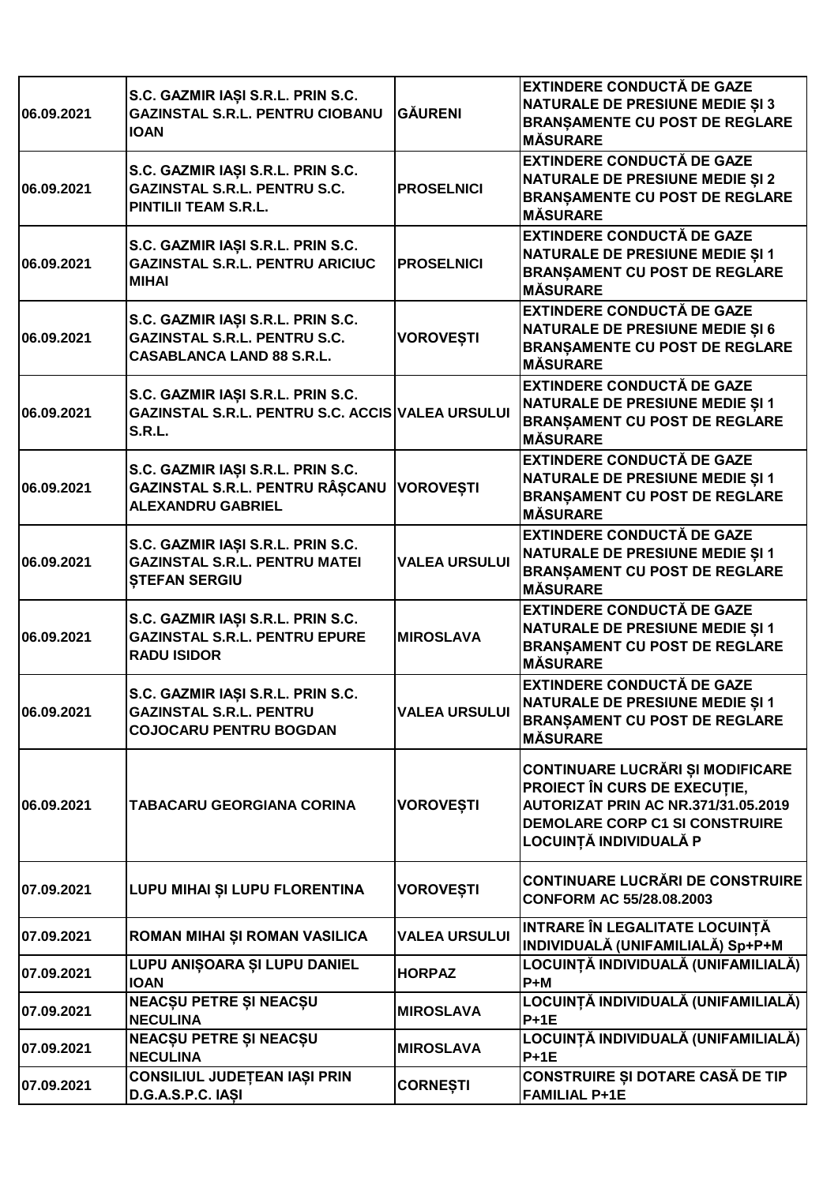| 06.09.2021 | S.C. GAZMIR IAȘI S.R.L. PRIN S.C.<br><b>GAZINSTAL S.R.L. PENTRU CIOBANU</b><br><b>IOAN</b>                    | <b>GÄURENI</b>       | <b>EXTINDERE CONDUCTĂ DE GAZE</b><br><b>NATURALE DE PRESIUNE MEDIE ȘI 3</b><br><b>BRANȘAMENTE CU POST DE REGLARE</b><br><b>MÅSURARE</b>                                                  |
|------------|---------------------------------------------------------------------------------------------------------------|----------------------|------------------------------------------------------------------------------------------------------------------------------------------------------------------------------------------|
| 06.09.2021 | S.C. GAZMIR IAȘI S.R.L. PRIN S.C.<br><b>GAZINSTAL S.R.L. PENTRU S.C.</b><br><b>PINTILII TEAM S.R.L.</b>       | <b>PROSELNICI</b>    | <b>EXTINDERE CONDUCTĂ DE GAZE</b><br><b>NATURALE DE PRESIUNE MEDIE ȘI 2</b><br><b>BRANȘAMENTE CU POST DE REGLARE</b><br><b>MÅSURARE</b>                                                  |
| 06.09.2021 | S.C. GAZMIR IAȘI S.R.L. PRIN S.C.<br><b>GAZINSTAL S.R.L. PENTRU ARICIUC</b><br><b>MIHAI</b>                   | <b>PROSELNICI</b>    | <b>EXTINDERE CONDUCTĂ DE GAZE</b><br><b>NATURALE DE PRESIUNE MEDIE ȘI 1</b><br><b>BRANȘAMENT CU POST DE REGLARE</b><br><b>MÄSURARE</b>                                                   |
| 06.09.2021 | S.C. GAZMIR IAȘI S.R.L. PRIN S.C.<br><b>GAZINSTAL S.R.L. PENTRU S.C.</b><br><b>CASABLANCA LAND 88 S.R.L.</b>  | <b>VOROVEȘTI</b>     | <b>EXTINDERE CONDUCTĂ DE GAZE</b><br><b>NATURALE DE PRESIUNE MEDIE ȘI 6</b><br><b>BRANSAMENTE CU POST DE REGLARE</b><br><b>MÅSURARE</b>                                                  |
| 06.09.2021 | S.C. GAZMIR IAȘI S.R.L. PRIN S.C.<br><b>GAZINSTAL S.R.L. PENTRU S.C. ACCIS VALEA URSULUI</b><br><b>S.R.L.</b> |                      | <b>EXTINDERE CONDUCTĂ DE GAZE</b><br><b>NATURALE DE PRESIUNE MEDIE ȘI 1</b><br><b>BRANȘAMENT CU POST DE REGLARE</b><br><b>MÅSURARE</b>                                                   |
| 06.09.2021 | S.C. GAZMIR IAȘI S.R.L. PRIN S.C.<br>GAZINSTAL S.R.L. PENTRU RÂȘCANU<br><b>ALEXANDRU GABRIEL</b>              | <b>VOROVEȘTI</b>     | <b>EXTINDERE CONDUCTĂ DE GAZE</b><br><b>NATURALE DE PRESIUNE MEDIE SI 1</b><br><b>BRANȘAMENT CU POST DE REGLARE</b><br><b>MÅSURARE</b>                                                   |
| 06.09.2021 | S.C. GAZMIR IAȘI S.R.L. PRIN S.C.<br><b>GAZINSTAL S.R.L. PENTRU MATEI</b><br><b>STEFAN SERGIU</b>             | <b>VALEA URSULUI</b> | <b>EXTINDERE CONDUCTĂ DE GAZE</b><br>NATURALE DE PRESIUNE MEDIE ȘI 1<br><b>BRANSAMENT CU POST DE REGLARE</b><br><b>MÄSURARE</b>                                                          |
| 06.09.2021 | S.C. GAZMIR IAȘI S.R.L. PRIN S.C.<br><b>GAZINSTAL S.R.L. PENTRU EPURE</b><br><b>RADU ISIDOR</b>               | <b>MIROSLAVA</b>     | <b>EXTINDERE CONDUCTĂ DE GAZE</b><br><b>NATURALE DE PRESIUNE MEDIE ȘI 1</b><br><b>BRANSAMENT CU POST DE REGLARE</b><br><b>MÄSURARE</b>                                                   |
| 06.09.2021 | S.C. GAZMIR IAȘI S.R.L. PRIN S.C.<br><b>GAZINSTAL S.R.L. PENTRU</b><br><b>COJOCARU PENTRU BOGDAN</b>          | <b>VALEA URSULUI</b> | <b>EXTINDERE CONDUCTĂ DE GAZE</b><br><b>NATURALE DE PRESIUNE MEDIE ȘI 1</b><br><b>BRANȘAMENT CU POST DE REGLARE</b><br><b>MÅSURARE</b>                                                   |
| 06.09.2021 | TABACARU GEORGIANA CORINA                                                                                     | <b>VOROVESTI</b>     | <b>CONTINUARE LUCRĂRI ȘI MODIFICARE</b><br>PROIECT ÎN CURS DE EXECUTIE,<br><b>AUTORIZAT PRIN AC NR.371/31.05.2019</b><br><b>DEMOLARE CORP C1 SI CONSTRUIRE</b><br>LOCUINȚĂ INDIVIDUALĂ P |
| 07.09.2021 | LUPU MIHAI ȘI LUPU FLORENTINA                                                                                 | <b>VOROVEȘTI</b>     | <b>CONTINUARE LUCRĂRI DE CONSTRUIRE</b><br>CONFORM AC 55/28.08.2003                                                                                                                      |
| 07.09.2021 | ROMAN MIHAI ȘI ROMAN VASILICA                                                                                 | <b>VALEA URSULUI</b> | INTRARE ÎN LEGALITATE LOCUINȚĂ<br>INDIVIDUALĂ (UNIFAMILIALĂ) Sp+P+M                                                                                                                      |
| 07.09.2021 | LUPU ANIȘOARA ȘI LUPU DANIEL<br><b>IOAN</b>                                                                   | <b>HORPAZ</b>        | LOCUINȚĂ INDIVIDUALĂ (UNIFAMILIALĂ)<br>$P+M$                                                                                                                                             |
| 07.09.2021 | NEACȘU PETRE ȘI NEACȘU<br><b>NECULINA</b>                                                                     | <b>MIROSLAVA</b>     | LOCUINȚĂ INDIVIDUALĂ (UNIFAMILIALĂ)<br>$P+1E$                                                                                                                                            |
| 07.09.2021 | <b>NEACȘU PETRE ȘI NEACȘU</b><br><b>NECULINA</b>                                                              | <b>MIROSLAVA</b>     | LOCUINȚĂ INDIVIDUALĂ (UNIFAMILIALĂ)<br>$P+1E$                                                                                                                                            |
| 07.09.2021 | CONSILIUL JUDEȚEAN IAȘI PRIN<br>D.G.A.S.P.C. IASI                                                             | <b>CORNEȘTI</b>      | <b>CONSTRUIRE ȘI DOTARE CASĂ DE TIP</b><br><b>FAMILIAL P+1E</b>                                                                                                                          |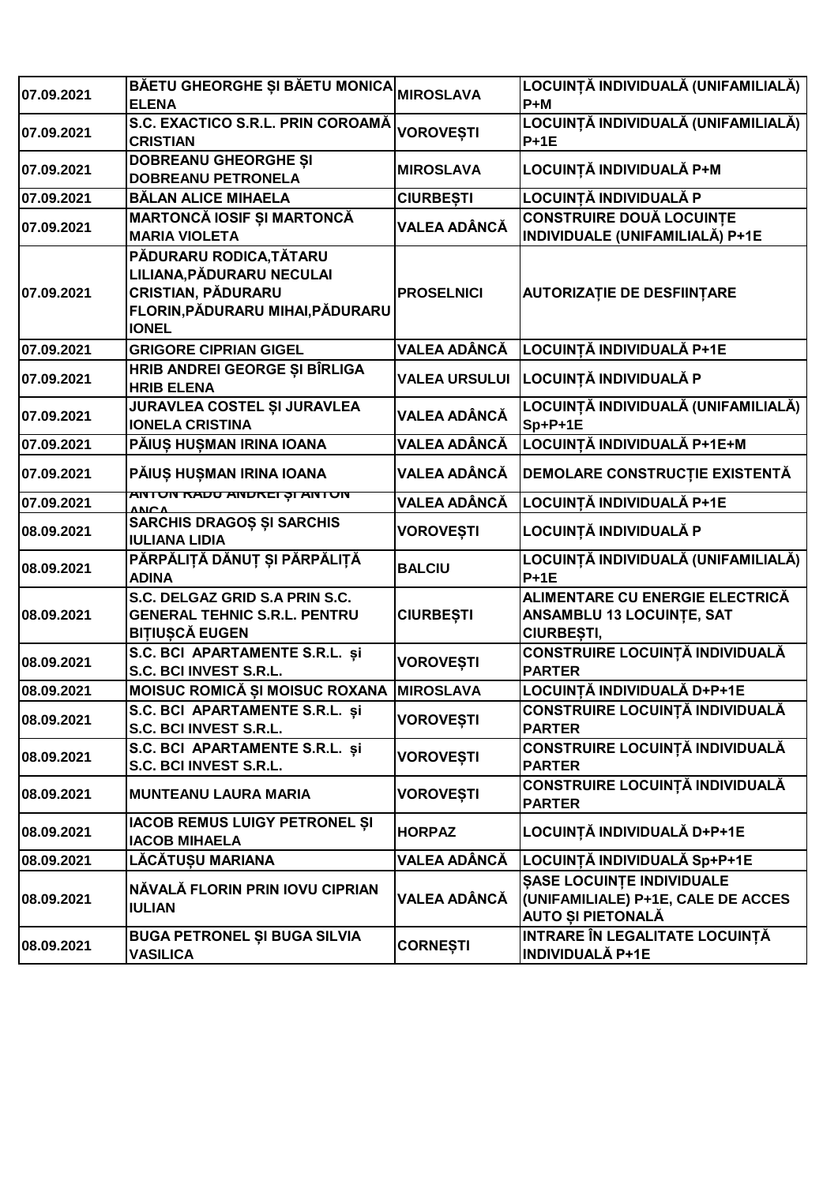| 07.09.2021 | BĂETU GHEORGHE ȘI BĂETU MONICA<br><b>ELENA</b>                                                                             | <b>MIROSLAVA</b>     | LOCUINȚĂ INDIVIDUALĂ (UNIFAMILIALĂ)<br>$P+M$                                                |
|------------|----------------------------------------------------------------------------------------------------------------------------|----------------------|---------------------------------------------------------------------------------------------|
| 07.09.2021 | S.C. EXACTICO S.R.L. PRIN COROAMĂ<br><b>CRISTIAN</b>                                                                       | <b>VOROVEȘTI</b>     | LOCUINȚĂ INDIVIDUALĂ (UNIFAMILIALĂ)<br>$P + 1E$                                             |
| 07.09.2021 | <b>DOBREANU GHEORGHE ȘI</b><br><b>DOBREANU PETRONELA</b>                                                                   | <b>MIROSLAVA</b>     | LOCUINȚĂ INDIVIDUALĂ P+M                                                                    |
| 07.09.2021 | <b>BĂLAN ALICE MIHAELA</b>                                                                                                 | <b>CIURBEȘTI</b>     | LOCUINȚĂ INDIVIDUALĂ P                                                                      |
| 07.09.2021 | MARTONCĂ IOSIF ȘI MARTONCĂ<br><b>MARIA VIOLETA</b>                                                                         | <b>VALEA ADÂNCĂ</b>  | <b>CONSTRUIRE DOUĂ LOCUINTE</b><br>INDIVIDUALE (UNIFAMILIALĂ) P+1E                          |
| 07.09.2021 | PĂDURARU RODICA,TĂTARU<br>LILIANA,PĂDURARU NECULAI<br>CRISTIAN, PĂDURARU<br>FLORIN,PĂDURARU MIHAI,PĂDURARU<br><b>IONEL</b> | <b>PROSELNICI</b>    | <b>AUTORIZAȚIE DE DESFIINȚARE</b>                                                           |
| 07.09.2021 | <b>GRIGORE CIPRIAN GIGEL</b>                                                                                               | <b>VALEA ADÂNCĂ</b>  | LOCUINȚĂ INDIVIDUALĂ P+1E                                                                   |
| 07.09.2021 | HRIB ANDREI GEORGE ȘI BÎRLIGA<br><b>HRIB ELENA</b>                                                                         | <b>VALEA URSULUI</b> | LOCUINȚĂ INDIVIDUALĂ P                                                                      |
| 07.09.2021 | <b>JURAVLEA COSTEL ȘI JURAVLEA</b><br><b>IONELA CRISTINA</b>                                                               | VALEA ADÂNCĂ         | LOCUINȚĂ INDIVIDUALĂ (UNIFAMILIALĂ)<br>$Sp+P+1E$                                            |
| 07.09.2021 | PĂIUS HUȘMAN IRINA IOANA                                                                                                   | VALEA ADÂNCĂ         | LOCUINȚĂ INDIVIDUALĂ P+1E+M                                                                 |
| 07.09.2021 | PĂIUȘ HUȘMAN IRINA IOANA                                                                                                   | VALEA ADÂNCĂ         | DEMOLARE CONSTRUCTIE EXISTENTĂ                                                              |
| 07.09.2021 | <u>ANTUN RADU ANDREI ȘI ANTUN</u>                                                                                          | VALEA ADÂNCĂ         | LOCUINȚĂ INDIVIDUALĂ P+1E                                                                   |
| 08.09.2021 | <b>SARCHIS DRAGOS ȘI SARCHIS</b><br><b>IULIANA LIDIA</b>                                                                   | <b>VOROVEȘTI</b>     | LOCUINȚĂ INDIVIDUALĂ P                                                                      |
| 08.09.2021 | PĂRPĂLIȚĂ DĂNUȚ ȘI PĂRPĂLIȚĂ<br><b>ADINA</b>                                                                               | <b>BALCIU</b>        | LOCUINȚĂ INDIVIDUALĂ (UNIFAMILIALĂ)<br>$P + 1E$                                             |
| 08.09.2021 | S.C. DELGAZ GRID S.A PRIN S.C.<br><b>GENERAL TEHNIC S.R.L. PENTRU</b><br><b>BITIUȘCĂ EUGEN</b>                             | <b>CIURBEȘTI</b>     | ALIMENTARE CU ENERGIE ELECTRICĂ<br><b>ANSAMBLU 13 LOCUINTE, SAT</b><br>CIURBEȘTI,           |
| 08.09.2021 | S.C. BCI APARTAMENTE S.R.L. și<br>S.C. BCI INVEST S.R.L.                                                                   | <b>VOROVEȘTI</b>     | <b>CONSTRUIRE LOCUINȚĂ INDIVIDUALĂ</b><br><b>PARTER</b>                                     |
| 08.09.2021 | MOISUC ROMICĂ ȘI MOISUC ROXANA MIROSLAVA                                                                                   |                      | LOCUINȚĂ INDIVIDUALĂ D+P+1E                                                                 |
| 08.09.2021 | S.C. BCI APARTAMENTE S.R.L. și<br>S.C. BCI INVEST S.R.L.                                                                   | <b>VOROVEȘTI</b>     | <b>CONSTRUIRE LOCUINȚĂ INDIVIDUALĂ</b><br><b>PARTER</b>                                     |
| 08.09.2021 | S.C. BCI APARTAMENTE S.R.L. și<br>S.C. BCI INVEST S.R.L.                                                                   | <b>VOROVESTI</b>     | CONSTRUIRE LOCUINȚĂ INDIVIDUALĂ<br><b>PARTER</b>                                            |
| 08.09.2021 | <b>MUNTEANU LAURA MARIA</b>                                                                                                | VOROVEȘTI            | CONSTRUIRE LOCUINȚĂ INDIVIDUALĂ<br><b>PARTER</b>                                            |
| 08.09.2021 | IACOB REMUS LUIGY PETRONEL ȘI<br><b>IACOB MIHAELA</b>                                                                      | <b>HORPAZ</b>        | LOCUINȚĂ INDIVIDUALĂ D+P+1E                                                                 |
| 08.09.2021 | LĂCĂTUȘU MARIANA                                                                                                           | VALEA ADÂNCĂ         | LOCUINȚĂ INDIVIDUALĂ Sp+P+1E                                                                |
| 08.09.2021 | NĂVALĂ FLORIN PRIN IOVU CIPRIAN<br><b>IULIAN</b>                                                                           | VALEA ADÂNCĂ         | <b>ŞASE LOCUINȚE INDIVIDUALE</b><br>(UNIFAMILIALE) P+1E, CALE DE ACCES<br>AUTO ȘI PIETONALĂ |
| 08.09.2021 | <b>BUGA PETRONEL ȘI BUGA SILVIA</b><br><b>VASILICA</b>                                                                     | <b>CORNEȘTI</b>      | INTRARE ÎN LEGALITATE LOCUINȚĂ<br><b>INDIVIDUALĂ P+1E</b>                                   |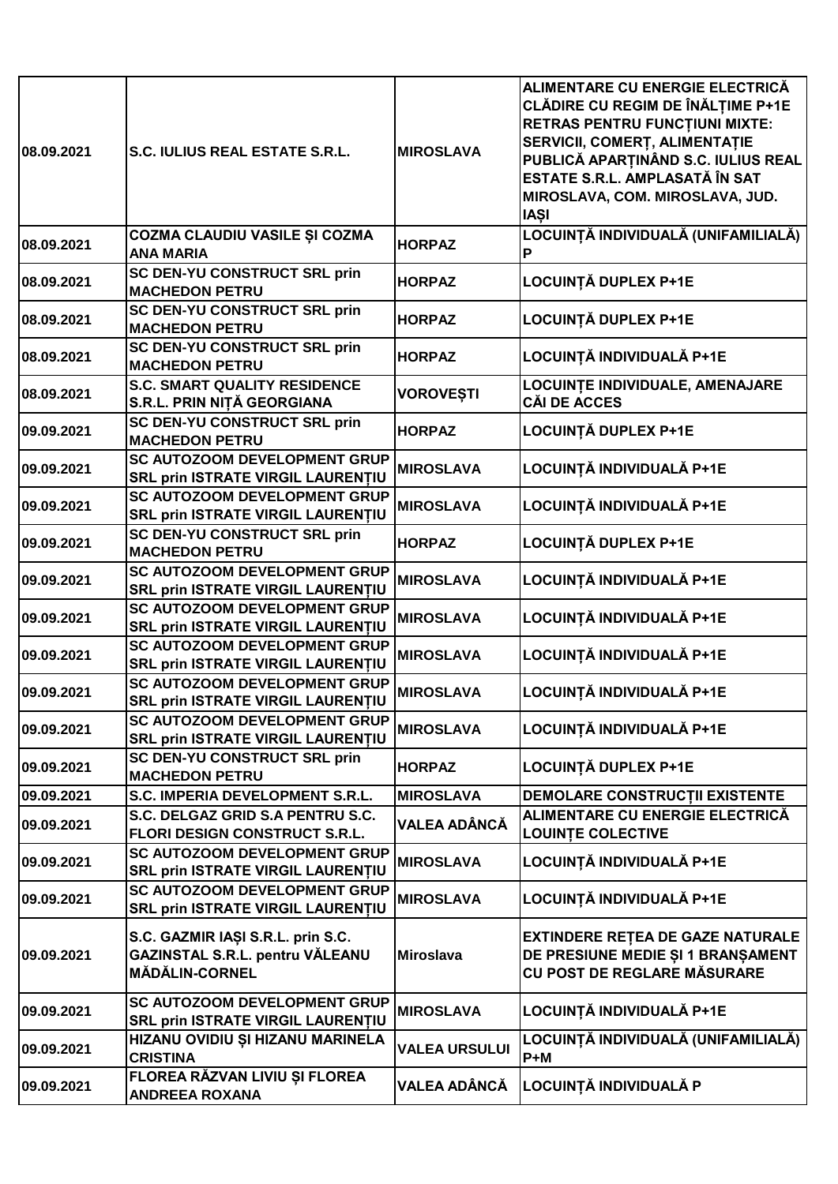| 08.09.2021 | S.C. IULIUS REAL ESTATE S.R.L.                                                                | <b>MIROSLAVA</b>     | <b>ALIMENTARE CU ENERGIE ELECTRICĂ</b><br><b>CLĂDIRE CU REGIM DE ÎNĂLȚIME P+1E</b><br><b>RETRAS PENTRU FUNCTIUNI MIXTE:</b><br>SERVICII, COMERȚ, ALIMENTAȚIE<br>PUBLICĂ APARȚINÂND S.C. IULIUS REAL<br>ESTATE S.R.L. AMPLASATĂ ÎN SAT<br>MIROSLAVA, COM. MIROSLAVA, JUD.<br><b>IASI</b> |
|------------|-----------------------------------------------------------------------------------------------|----------------------|-----------------------------------------------------------------------------------------------------------------------------------------------------------------------------------------------------------------------------------------------------------------------------------------|
| 08.09.2021 | COZMA CLAUDIU VASILE ȘI COZMA<br><b>ANA MARIA</b>                                             | <b>HORPAZ</b>        | LOCUINȚĂ INDIVIDUALĂ (UNIFAMILIALĂ)<br>Р                                                                                                                                                                                                                                                |
| 08.09.2021 | <b>SC DEN-YU CONSTRUCT SRL prin</b><br><b>MACHEDON PETRU</b>                                  | <b>HORPAZ</b>        | LOCUINȚĂ DUPLEX P+1E                                                                                                                                                                                                                                                                    |
| 08.09.2021 | SC DEN-YU CONSTRUCT SRL prin<br><b>MACHEDON PETRU</b>                                         | <b>HORPAZ</b>        | LOCUINȚĂ DUPLEX P+1E                                                                                                                                                                                                                                                                    |
| 08.09.2021 | <b>SC DEN-YU CONSTRUCT SRL prin</b><br><b>MACHEDON PETRU</b>                                  | <b>HORPAZ</b>        | LOCUINȚĂ INDIVIDUALĂ P+1E                                                                                                                                                                                                                                                               |
| 08.09.2021 | <b>S.C. SMART QUALITY RESIDENCE</b><br>S.R.L. PRIN NIȚĂ GEORGIANA                             | <b>VOROVEȘTI</b>     | LOCUINȚE INDIVIDUALE, AMENAJARE<br><b>CĂI DE ACCES</b>                                                                                                                                                                                                                                  |
| 09.09.2021 | <b>SC DEN-YU CONSTRUCT SRL prin</b><br><b>MACHEDON PETRU</b>                                  | <b>HORPAZ</b>        | LOCUINȚĂ DUPLEX P+1E                                                                                                                                                                                                                                                                    |
| 09.09.2021 | <b>SC AUTOZOOM DEVELOPMENT GRUP</b><br>SRL prin ISTRATE VIRGIL LAURENȚIU                      | <b>MIROSLAVA</b>     | LOCUINȚĂ INDIVIDUALĂ P+1E                                                                                                                                                                                                                                                               |
| 09.09.2021 | <b>SC AUTOZOOM DEVELOPMENT GRUP</b><br><b>SRL prin ISTRATE VIRGIL LAURENTIU</b>               | <b>MIROSLAVA</b>     | LOCUINȚĂ INDIVIDUALĂ P+1E                                                                                                                                                                                                                                                               |
| 09.09.2021 | <b>SC DEN-YU CONSTRUCT SRL prin</b><br><b>MACHEDON PETRU</b>                                  | <b>HORPAZ</b>        | <b>LOCUINȚĂ DUPLEX P+1E</b>                                                                                                                                                                                                                                                             |
| 09.09.2021 | <b>SC AUTOZOOM DEVELOPMENT GRUP</b><br><b>SRL prin ISTRATE VIRGIL LAURENTIU</b>               | <b>MIROSLAVA</b>     | LOCUINȚĂ INDIVIDUALĂ P+1E                                                                                                                                                                                                                                                               |
| 09.09.2021 | <b>SC AUTOZOOM DEVELOPMENT GRUP</b><br><b>SRL prin ISTRATE VIRGIL LAURENTIU</b>               | <b>MIROSLAVA</b>     | LOCUINȚĂ INDIVIDUALĂ P+1E                                                                                                                                                                                                                                                               |
| 09.09.2021 | <b>SC AUTOZOOM DEVELOPMENT GRUP</b><br><b>SRL prin ISTRATE VIRGIL LAURENTIU</b>               | <b>MIROSLAVA</b>     | LOCUINȚĂ INDIVIDUALĂ P+1E                                                                                                                                                                                                                                                               |
| 09.09.2021 | <b>SC AUTOZOOM DEVELOPMENT GRUP</b><br><b>SRL prin ISTRATE VIRGIL LAURENTIU</b>               | <b>MIROSLAVA</b>     | LOCUINȚĂ INDIVIDUALĂ P+1E                                                                                                                                                                                                                                                               |
| 09.09.2021 | <b>SC AUTOZOOM DEVELOPMENT GRUP</b><br><b>SRL prin ISTRATE VIRGIL LAURENTIU</b>               | <b>MIROSLAVA</b>     | LOCUINȚĂ INDIVIDUALĂ P+1E                                                                                                                                                                                                                                                               |
| 09.09.2021 | SC DEN-YU CONSTRUCT SRL prin<br><b>MACHEDON PETRU</b>                                         | <b>HORPAZ</b>        | LOCUINȚĂ DUPLEX P+1E                                                                                                                                                                                                                                                                    |
| 09.09.2021 | S.C. IMPERIA DEVELOPMENT S.R.L.                                                               | <b>MIROSLAVA</b>     | <b>DEMOLARE CONSTRUCTII EXISTENTE</b>                                                                                                                                                                                                                                                   |
| 09.09.2021 | S.C. DELGAZ GRID S.A PENTRU S.C.<br><b>FLORI DESIGN CONSTRUCT S.R.L.</b>                      | <b>VALEA ADÂNCĂ</b>  | ALIMENTARE CU ENERGIE ELECTRICĂ<br><b>LOUINTE COLECTIVE</b>                                                                                                                                                                                                                             |
| 09.09.2021 | <b>SC AUTOZOOM DEVELOPMENT GRUP</b><br><b>SRL prin ISTRATE VIRGIL LAURENTIU</b>               | <b>MIROSLAVA</b>     | LOCUINȚĂ INDIVIDUALĂ P+1E                                                                                                                                                                                                                                                               |
| 09.09.2021 | <b>SC AUTOZOOM DEVELOPMENT GRUP</b><br><b>SRL prin ISTRATE VIRGIL LAURENTIU</b>               | <b>MIROSLAVA</b>     | LOCUINȚĂ INDIVIDUALĂ P+1E                                                                                                                                                                                                                                                               |
| 09.09.2021 | S.C. GAZMIR IAȘI S.R.L. prin S.C.<br>GAZINSTAL S.R.L. pentru VĂLEANU<br><b>MĂDĂLIN-CORNEL</b> | <b>Miroslava</b>     | <b>EXTINDERE RETEA DE GAZE NATURALE</b><br>DE PRESIUNE MEDIE ȘI 1 BRANȘAMENT<br><b>CU POST DE REGLARE MĂSURARE</b>                                                                                                                                                                      |
| 09.09.2021 | <b>SC AUTOZOOM DEVELOPMENT GRUP</b><br><b>SRL prin ISTRATE VIRGIL LAURENTIU</b>               | <b>MIROSLAVA</b>     | LOCUINȚĂ INDIVIDUALĂ P+1E                                                                                                                                                                                                                                                               |
| 09.09.2021 | HIZANU OVIDIU ȘI HIZANU MARINELA<br><b>CRISTINA</b>                                           | <b>VALEA URSULUI</b> | LOCUINȚĂ INDIVIDUALĂ (UNIFAMILIALĂ)<br>$P+M$                                                                                                                                                                                                                                            |
| 09.09.2021 | FLOREA RĂZVAN LIVIU ȘI FLOREA<br><b>ANDREEA ROXANA</b>                                        | VALEA ADÂNCĂ         | LOCUINȚĂ INDIVIDUALĂ P                                                                                                                                                                                                                                                                  |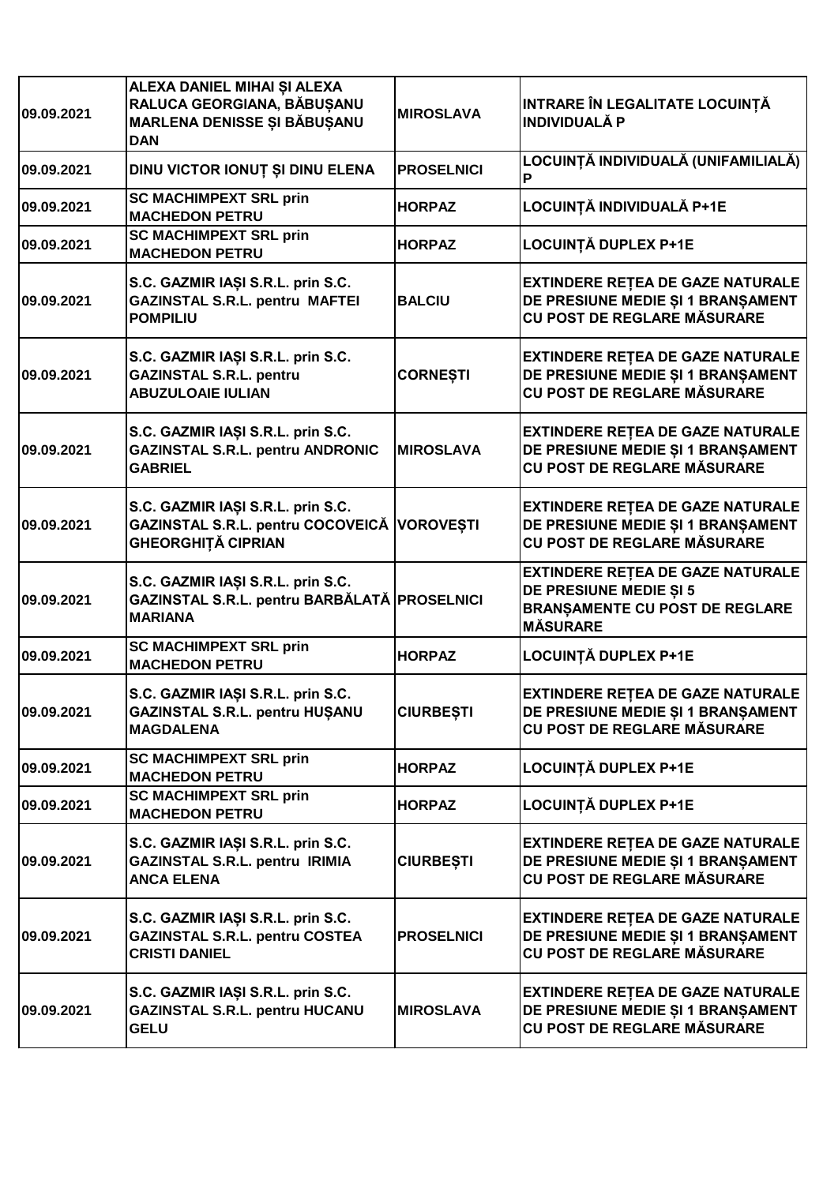| 09.09.2021 | ALEXA DANIEL MIHAI ȘI ALEXA<br>RALUCA GEORGIANA, BĂBUȘANU<br><b>MARLENA DENISSE ȘI BĂBUȘANU</b><br><b>DAN</b> | <b>MIROSLAVA</b>  | INTRARE ÎN LEGALITATE LOCUINȚĂ<br><b>INDIVIDUALĂ P</b>                                                                        |
|------------|---------------------------------------------------------------------------------------------------------------|-------------------|-------------------------------------------------------------------------------------------------------------------------------|
| 09.09.2021 | DINU VICTOR IONUȚ ȘI DINU ELENA                                                                               | <b>PROSELNICI</b> | LOCUINȚĂ INDIVIDUALĂ (UNIFAMILIALĂ)<br>P                                                                                      |
| 09.09.2021 | <b>SC MACHIMPEXT SRL prin</b><br><b>MACHEDON PETRU</b>                                                        | <b>HORPAZ</b>     | LOCUINȚĂ INDIVIDUALĂ P+1E                                                                                                     |
| 09.09.2021 | <b>SC MACHIMPEXT SRL prin</b><br><b>MACHEDON PETRU</b>                                                        | <b>HORPAZ</b>     | <b>LOCUINȚĂ DUPLEX P+1E</b>                                                                                                   |
| 09.09.2021 | S.C. GAZMIR IAȘI S.R.L. prin S.C.<br><b>GAZINSTAL S.R.L. pentru MAFTEI</b><br><b>POMPILIU</b>                 | <b>BALCIU</b>     | <b>EXTINDERE RETEA DE GAZE NATURALE</b><br>DE PRESIUNE MEDIE ȘI 1 BRANȘAMENT<br>CU POST DE REGLARE MĂSURARE                   |
| 09.09.2021 | S.C. GAZMIR IAȘI S.R.L. prin S.C.<br><b>GAZINSTAL S.R.L. pentru</b><br><b>ABUZULOAIE IULIAN</b>               | <b>CORNEȘTI</b>   | <b>EXTINDERE RETEA DE GAZE NATURALE</b><br>DE PRESIUNE MEDIE ȘI 1 BRANȘAMENT<br><b>CU POST DE REGLARE MĂSURARE</b>            |
| 09.09.2021 | S.C. GAZMIR IAȘI S.R.L. prin S.C.<br><b>GAZINSTAL S.R.L. pentru ANDRONIC</b><br><b>GABRIEL</b>                | <b>MIROSLAVA</b>  | <b>EXTINDERE RETEA DE GAZE NATURALE</b><br>DE PRESIUNE MEDIE ȘI 1 BRANȘAMENT<br><b>CU POST DE REGLARE MĂSURARE</b>            |
| 09.09.2021 | S.C. GAZMIR IAȘI S.R.L. prin S.C.<br>GAZINSTAL S.R.L. pentru COCOVEICĂ VOROVEȘTI<br><b>GHEORGHIȚĂ CIPRIAN</b> |                   | <b>EXTINDERE RETEA DE GAZE NATURALE</b><br>DE PRESIUNE MEDIE ȘI 1 BRANȘAMENT<br>CU POST DE REGLARE MĂSURARE                   |
| 09.09.2021 | S.C. GAZMIR IAȘI S.R.L. prin S.C.<br>GAZINSTAL S.R.L. pentru BARBĂLATĂ PROSELNICI<br><b>MARIANA</b>           |                   | <b>EXTINDERE RETEA DE GAZE NATURALE</b><br>DE PRESIUNE MEDIE ȘI 5<br><b>BRANSAMENTE CU POST DE REGLARE</b><br><b>MÄSURARE</b> |
| 09.09.2021 | <b>SC MACHIMPEXT SRL prin</b><br><b>MACHEDON PETRU</b>                                                        | <b>HORPAZ</b>     | <b>LOCUINȚĂ DUPLEX P+1E</b>                                                                                                   |
| 09.09.2021 | S.C. GAZMIR IAȘI S.R.L. prin S.C.<br>GAZINSTAL S.R.L. pentru HUȘANU<br><b>MAGDALENA</b>                       | <b>CIURBEȘTI</b>  | <b>EXTINDERE RETEA DE GAZE NATURALE</b><br>DE PRESIUNE MEDIE ȘI 1 BRANȘAMENT<br><b>CU POST DE REGLARE MĂSURARE</b>            |
| 09.09.2021 | <b>SC MACHIMPEXT SRL prin</b><br><b>MACHEDON PETRU</b>                                                        | <b>HORPAZ</b>     | LOCUINȚĂ DUPLEX P+1E                                                                                                          |
| 09.09.2021 | <b>SC MACHIMPEXT SRL prin</b><br><b>MACHEDON PETRU</b>                                                        | <b>HORPAZ</b>     | LOCUINȚĂ DUPLEX P+1E                                                                                                          |
| 09.09.2021 | S.C. GAZMIR IAȘI S.R.L. prin S.C.<br>GAZINSTAL S.R.L. pentru IRIMIA<br><b>ANCA ELENA</b>                      | <b>CIURBEȘTI</b>  | <b>EXTINDERE RETEA DE GAZE NATURALE</b><br>DE PRESIUNE MEDIE ȘI 1 BRANȘAMENT<br><b>CU POST DE REGLARE MĂSURARE</b>            |
| 09.09.2021 | S.C. GAZMIR IAȘI S.R.L. prin S.C.<br><b>GAZINSTAL S.R.L. pentru COSTEA</b><br><b>CRISTI DANIEL</b>            | <b>PROSELNICI</b> | <b>EXTINDERE RETEA DE GAZE NATURALE</b><br>DE PRESIUNE MEDIE ȘI 1 BRANȘAMENT<br>CU POST DE REGLARE MĂSURARE                   |
| 09.09.2021 | S.C. GAZMIR IAȘI S.R.L. prin S.C.<br><b>GAZINSTAL S.R.L. pentru HUCANU</b><br><b>GELU</b>                     | <b>MIROSLAVA</b>  | <b>EXTINDERE RETEA DE GAZE NATURALE</b><br>DE PRESIUNE MEDIE ȘI 1 BRANȘAMENT<br>CU POST DE REGLARE MĂSURARE                   |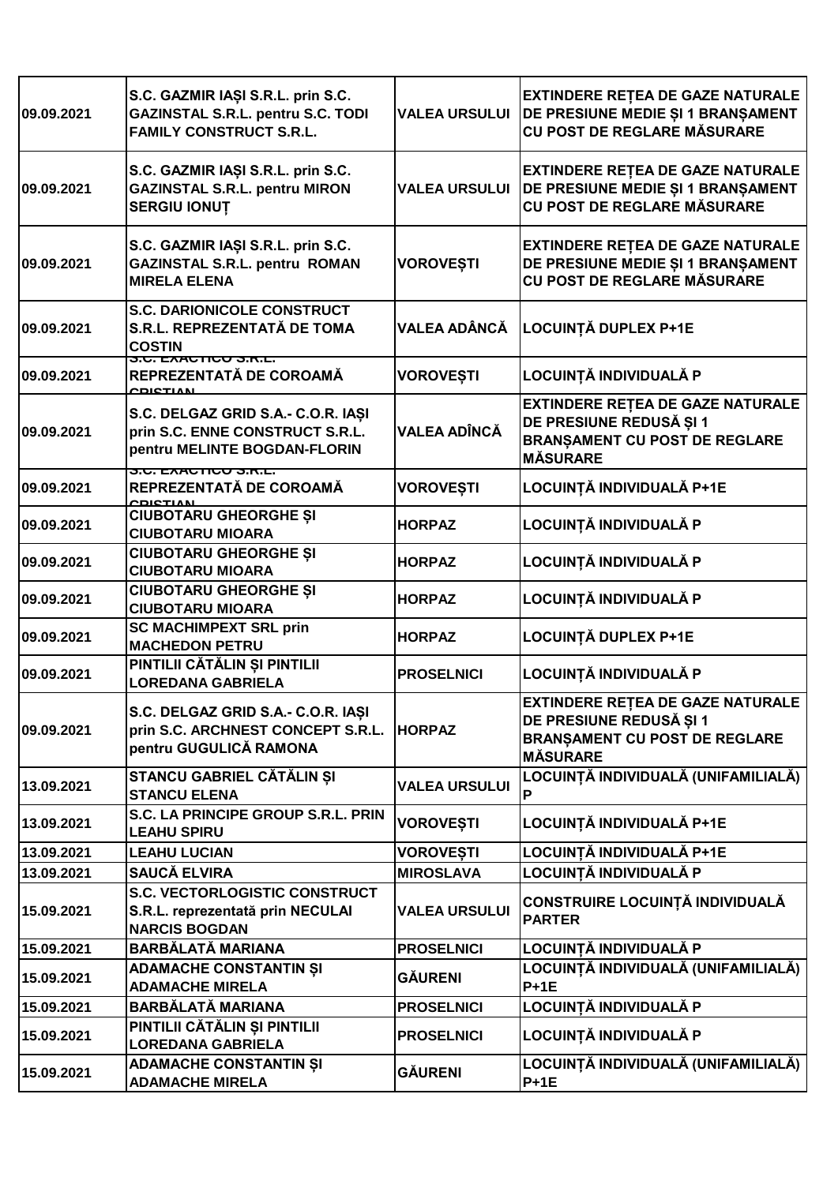| 09.09.2021 | S.C. GAZMIR IAȘI S.R.L. prin S.C.<br><b>GAZINSTAL S.R.L. pentru S.C. TODI</b><br><b>FAMILY CONSTRUCT S.R.L.</b>           | <b>VALEA URSULUI</b> | <b>EXTINDERE RETEA DE GAZE NATURALE</b><br>DE PRESIUNE MEDIE ȘI 1 BRANȘAMENT<br><b>CU POST DE REGLARE MĂSURARE</b>            |
|------------|---------------------------------------------------------------------------------------------------------------------------|----------------------|-------------------------------------------------------------------------------------------------------------------------------|
| 09.09.2021 | S.C. GAZMIR IAȘI S.R.L. prin S.C.<br><b>GAZINSTAL S.R.L. pentru MIRON</b><br><b>SERGIU IONUT</b>                          | <b>VALEA URSULUI</b> | <b>EXTINDERE RETEA DE GAZE NATURALE</b><br>DE PRESIUNE MEDIE ȘI 1 BRANȘAMENT<br>CU POST DE REGLARE MĂSURARE                   |
| 09.09.2021 | S.C. GAZMIR IAȘI S.R.L. prin S.C.<br><b>GAZINSTAL S.R.L. pentru ROMAN</b><br><b>MIRELA ELENA</b>                          | <b>VOROVEȘTI</b>     | <b>EXTINDERE RETEA DE GAZE NATURALE</b><br>DE PRESIUNE MEDIE ȘI 1 BRANȘAMENT<br>CU POST DE REGLARE MĂSURARE                   |
| 09.09.2021 | <b>S.C. DARIONICOLE CONSTRUCT</b><br>S.R.L. REPREZENTATĂ DE TOMA<br><b>COSTIN</b><br><u>ס.ט. באאט ווטט ס.ו<i>ז</i>.ב.</u> | VALEA ADÂNCĂ         | LOCUINȚĂ DUPLEX P+1E                                                                                                          |
| 09.09.2021 | REPREZENTATĂ DE COROAMĂ<br>CDICTIAN                                                                                       | <b>VOROVEȘTI</b>     | LOCUINȚĂ INDIVIDUALĂ P                                                                                                        |
| 09.09.2021 | S.C. DELGAZ GRID S.A.- C.O.R. IAȘI<br>prin S.C. ENNE CONSTRUCT S.R.L.<br>pentru MELINTE BOGDAN-FLORIN                     | <b>VALEA ADÎNCĂ</b>  | <b>EXTINDERE RETEA DE GAZE NATURALE</b><br>DE PRESIUNE REDUSĂ ȘI 1<br><b>BRANSAMENT CU POST DE REGLARE</b><br><b>MÅSURARE</b> |
| 09.09.2021 | <u>J.U. EAAUTIUU J.R.L.</u><br>REPREZENTATĂ DE COROAMĂ<br><b>CDICTIAN</b>                                                 | <b>VOROVEȘTI</b>     | LOCUINȚĂ INDIVIDUALĂ P+1E                                                                                                     |
| 09.09.2021 | <b>CIUBOTARU GHEORGHE ȘI</b><br><b>CIUBOTARU MIOARA</b>                                                                   | <b>HORPAZ</b>        | LOCUINȚĂ INDIVIDUALĂ P                                                                                                        |
| 09.09.2021 | <b>CIUBOTARU GHEORGHE ȘI</b><br><b>CIUBOTARU MIOARA</b>                                                                   | <b>HORPAZ</b>        | LOCUINȚĂ INDIVIDUALĂ P                                                                                                        |
| 09.09.2021 | <b>CIUBOTARU GHEORGHE ȘI</b><br><b>CIUBOTARU MIOARA</b>                                                                   | <b>HORPAZ</b>        | LOCUINȚĂ INDIVIDUALĂ P                                                                                                        |
| 09.09.2021 | <b>SC MACHIMPEXT SRL prin</b><br><b>MACHEDON PETRU</b>                                                                    | <b>HORPAZ</b>        | <b>LOCUINȚĂ DUPLEX P+1E</b>                                                                                                   |
| 09.09.2021 | PINTILII CĂTĂLIN ȘI PINTILII<br><b>LOREDANA GABRIELA</b>                                                                  | <b>PROSELNICI</b>    | LOCUINȚĂ INDIVIDUALĂ P                                                                                                        |
| 09.09.2021 | S.C. DELGAZ GRID S.A.- C.O.R. IAŞI<br>prin S.C. ARCHNEST CONCEPT S.R.L.<br>pentru GUGULICĂ RAMONA                         | <b>HORPAZ</b>        | <b>EXTINDERE RETEA DE GAZE NATURALE</b><br>DE PRESIUNE REDUSĂ ȘI 1<br><b>BRANSAMENT CU POST DE REGLARE</b><br><b>MÅSURARE</b> |
| 13.09.2021 | STANCU GABRIEL CĂTĂLIN ȘI<br><b>STANCU ELENA</b>                                                                          | <b>VALEA URSULUI</b> | LOCUINȚĂ INDIVIDUALĂ (UNIFAMILIALĂ)<br>P                                                                                      |
| 13.09.2021 | S.C. LA PRINCIPE GROUP S.R.L. PRIN<br><b>LEAHU SPIRU</b>                                                                  | <b>VOROVESTI</b>     | LOCUINȚĂ INDIVIDUALĂ P+1E                                                                                                     |
| 13.09.2021 | <b>LEAHU LUCIAN</b>                                                                                                       | <b>VOROVEȘTI</b>     | LOCUINȚĂ INDIVIDUALĂ P+1E                                                                                                     |
| 13.09.2021 | <b>SAUCĂ ELVIRA</b>                                                                                                       | <b>MIROSLAVA</b>     | LOCUINȚĂ INDIVIDUALĂ P                                                                                                        |
| 15.09.2021 | <b>S.C. VECTORLOGISTIC CONSTRUCT</b><br>S.R.L. reprezentată prin NECULAI<br><b>NARCIS BOGDAN</b>                          | <b>VALEA URSULUI</b> | CONSTRUIRE LOCUINȚĂ INDIVIDUALĂ<br><b>PARTER</b>                                                                              |
| 15.09.2021 | <b>BARBĂLATĂ MARIANA</b>                                                                                                  | <b>PROSELNICI</b>    | LOCUINȚĂ INDIVIDUALĂ P                                                                                                        |
| 15.09.2021 | <b>ADAMACHE CONSTANTIN ȘI</b><br><b>ADAMACHE MIRELA</b>                                                                   | GÅURENI              | LOCUINȚĂ INDIVIDUALĂ (UNIFAMILIALĂ)<br>$P + 1E$                                                                               |
| 15.09.2021 | <b>BARBĂLATĂ MARIANA</b>                                                                                                  | <b>PROSELNICI</b>    | LOCUINȚĂ INDIVIDUALĂ P                                                                                                        |
| 15.09.2021 | PINTILII CĂTĂLIN ȘI PINTILII<br><b>LOREDANA GABRIELA</b>                                                                  | <b>PROSELNICI</b>    | LOCUINȚĂ INDIVIDUALĂ P                                                                                                        |
| 15.09.2021 | <b>ADAMACHE CONSTANTIN ȘI</b><br><b>ADAMACHE MIRELA</b>                                                                   | GÅURENI              | LOCUINȚĂ INDIVIDUALĂ (UNIFAMILIALĂ)<br>$P + 1E$                                                                               |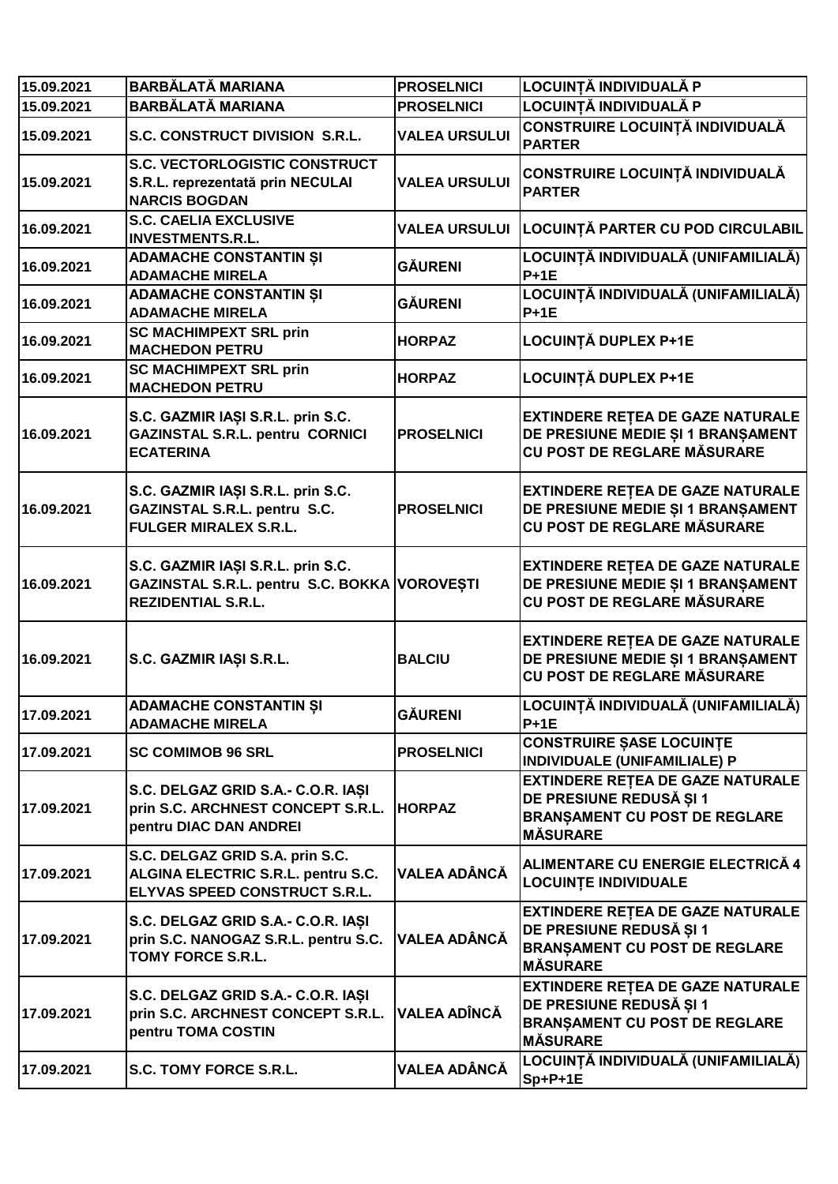| 15.09.2021 | <b>BARBĂLATĂ MARIANA</b>                                                                                       | <b>PROSELNICI</b>    | LOCUINTĂ INDIVIDUALĂ P                                                                                                        |
|------------|----------------------------------------------------------------------------------------------------------------|----------------------|-------------------------------------------------------------------------------------------------------------------------------|
| 15.09.2021 | <b>BARBĂLATĂ MARIANA</b>                                                                                       | <b>PROSELNICI</b>    | LOCUINȚĂ INDIVIDUALĂ P                                                                                                        |
| 15.09.2021 | S.C. CONSTRUCT DIVISION S.R.L.                                                                                 | <b>VALEA URSULUI</b> | CONSTRUIRE LOCUINȚĂ INDIVIDUALĂ<br><b>PARTER</b>                                                                              |
| 15.09.2021 | <b>S.C. VECTORLOGISTIC CONSTRUCT</b><br>S.R.L. reprezentată prin NECULAI<br><b>NARCIS BOGDAN</b>               | <b>VALEA URSULUI</b> | CONSTRUIRE LOCUINȚĂ INDIVIDUALĂ<br><b>PARTER</b>                                                                              |
| 16.09.2021 | <b>S.C. CAELIA EXCLUSIVE</b><br><b>INVESTMENTS.R.L.</b>                                                        |                      | VALEA URSULUI LOCUINȚĂ PARTER CU POD CIRCULABIL                                                                               |
| 16.09.2021 | <b>ADAMACHE CONSTANTIN ȘI</b><br><b>ADAMACHE MIRELA</b>                                                        | <b>GÄURENI</b>       | LOCUINȚĂ INDIVIDUALĂ (UNIFAMILIALĂ)<br>$P + 1E$                                                                               |
| 16.09.2021 | <b>ADAMACHE CONSTANTIN ȘI</b><br><b>ADAMACHE MIRELA</b>                                                        | <b>GÄURENI</b>       | LOCUINȚĂ INDIVIDUALĂ (UNIFAMILIALĂ)<br>$P+1E$                                                                                 |
| 16.09.2021 | <b>SC MACHIMPEXT SRL prin</b><br><b>MACHEDON PETRU</b>                                                         | <b>HORPAZ</b>        | LOCUINȚĂ DUPLEX P+1E                                                                                                          |
| 16.09.2021 | <b>SC MACHIMPEXT SRL prin</b><br><b>MACHEDON PETRU</b>                                                         | <b>HORPAZ</b>        | <b>LOCUINȚĂ DUPLEX P+1E</b>                                                                                                   |
| 16.09.2021 | S.C. GAZMIR IAȘI S.R.L. prin S.C.<br><b>GAZINSTAL S.R.L. pentru CORNICI</b><br><b>ECATERINA</b>                | <b>PROSELNICI</b>    | <b>EXTINDERE RETEA DE GAZE NATURALE</b><br>DE PRESIUNE MEDIE ȘI 1 BRANȘAMENT<br>CU POST DE REGLARE MĂSURARE                   |
| 16.09.2021 | S.C. GAZMIR IAȘI S.R.L. prin S.C.<br>GAZINSTAL S.R.L. pentru S.C.<br><b>FULGER MIRALEX S.R.L.</b>              | <b>PROSELNICI</b>    | <b>EXTINDERE RETEA DE GAZE NATURALE</b><br>DE PRESIUNE MEDIE ȘI 1 BRANȘAMENT<br>CU POST DE REGLARE MĂSURARE                   |
| 16.09.2021 | S.C. GAZMIR IAȘI S.R.L. prin S.C.<br>GAZINSTAL S.R.L. pentru S.C. BOKKA VOROVEȘTI<br><b>REZIDENTIAL S.R.L.</b> |                      | <b>EXTINDERE RETEA DE GAZE NATURALE</b><br>DE PRESIUNE MEDIE ȘI 1 BRANȘAMENT<br>CU POST DE REGLARE MĂSURARE                   |
| 16.09.2021 | S.C. GAZMIR IAȘI S.R.L.                                                                                        | <b>BALCIU</b>        | <b>EXTINDERE RETEA DE GAZE NATURALE</b><br>DE PRESIUNE MEDIE ȘI 1 BRANȘAMENT<br>CU POST DE REGLARE MĂSURARE                   |
| 17.09.2021 | <b>ADAMACHE CONSTANTIN ȘI</b><br><b>ADAMACHE MIRELA</b>                                                        | <b>GÄURENI</b>       | LOCUINȚĂ INDIVIDUALĂ (UNIFAMILIALĂ)<br>$P+1E$                                                                                 |
| 17.09.2021 | <b>SC COMIMOB 96 SRL</b>                                                                                       | <b>PROSELNICI</b>    | <b>CONSTRUIRE SASE LOCUINTE</b><br>INDIVIDUALE (UNIFAMILIALE) P                                                               |
| 17.09.2021 | S.C. DELGAZ GRID S.A.- C.O.R. IAȘI<br>prin S.C. ARCHNEST CONCEPT S.R.L.<br>pentru DIAC DAN ANDREI              | <b>HORPAZ</b>        | <b>EXTINDERE RETEA DE GAZE NATURALE</b><br>DE PRESIUNE REDUSĂ ȘI 1<br><b>BRANSAMENT CU POST DE REGLARE</b><br><b>MÅSURARE</b> |
| 17.09.2021 | S.C. DELGAZ GRID S.A. prin S.C.<br>ALGINA ELECTRIC S.R.L. pentru S.C.<br>ELYVAS SPEED CONSTRUCT S.R.L.         | <b>VALEA ADÂNCĂ</b>  | ALIMENTARE CU ENERGIE ELECTRICĂ 4<br><b>LOCUINTE INDIVIDUALE</b>                                                              |
| 17.09.2021 | S.C. DELGAZ GRID S.A.- C.O.R. IAȘI<br>prin S.C. NANOGAZ S.R.L. pentru S.C.<br><b>TOMY FORCE S.R.L.</b>         | VALEA ADÂNCĂ         | <b>EXTINDERE RETEA DE GAZE NATURALE</b><br>DE PRESIUNE REDUSĂ ȘI 1<br><b>BRANSAMENT CU POST DE REGLARE</b><br><b>MÅSURARE</b> |
| 17.09.2021 | S.C. DELGAZ GRID S.A.- C.O.R. IASI<br>prin S.C. ARCHNEST CONCEPT S.R.L.<br>pentru TOMA COSTIN                  | <b>VALEA ADÎNCĂ</b>  | <b>EXTINDERE RETEA DE GAZE NATURALE</b><br>DE PRESIUNE REDUSĂ ȘI 1<br><b>BRANSAMENT CU POST DE REGLARE</b><br><b>MÅSURARE</b> |
| 17.09.2021 | S.C. TOMY FORCE S.R.L.                                                                                         | VALEA ADÂNCĂ         | LOCUINȚĂ INDIVIDUALĂ (UNIFAMILIALĂ)<br>Sp+P+1E                                                                                |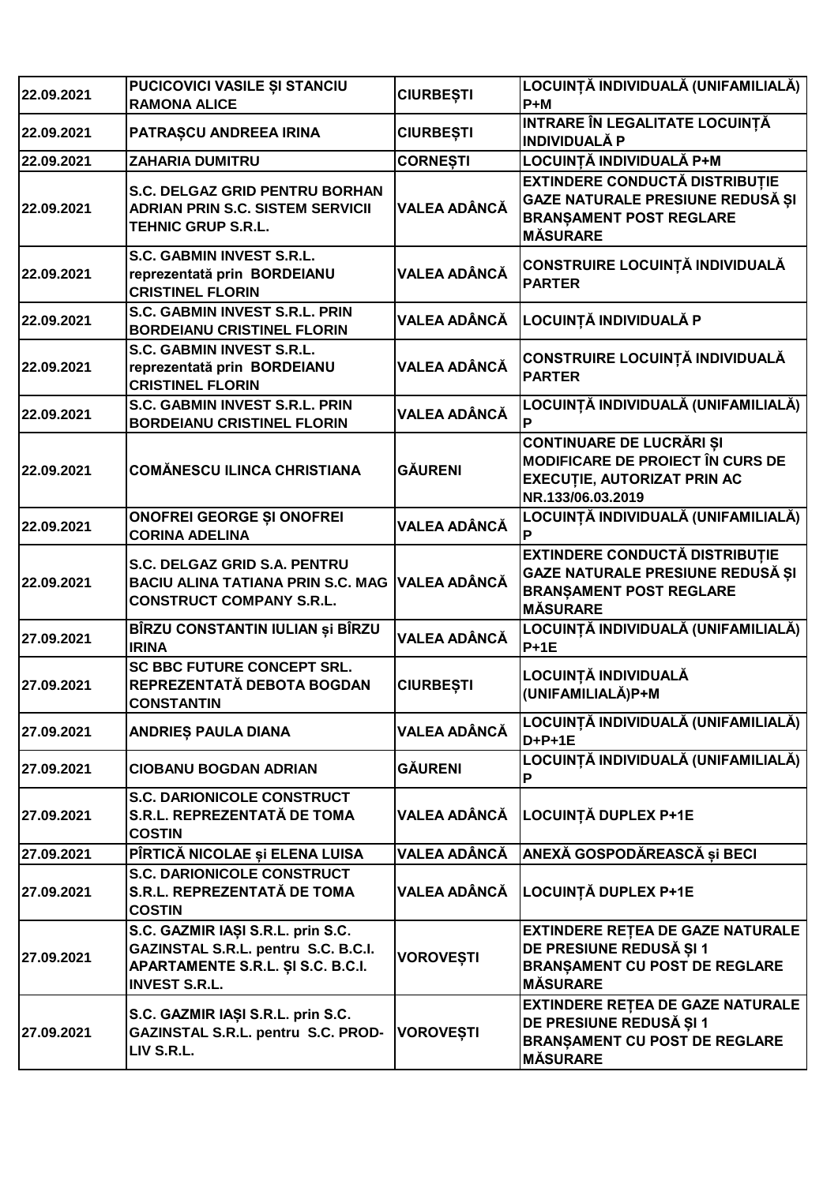| 22.09.2021 | PUCICOVICI VASILE ȘI STANCIU<br><b>RAMONA ALICE</b>                                                                                   | <b>CIURBEȘTI</b>    | LOCUINȚĂ INDIVIDUALĂ (UNIFAMILIALĂ)<br>$P+M$                                                                                          |
|------------|---------------------------------------------------------------------------------------------------------------------------------------|---------------------|---------------------------------------------------------------------------------------------------------------------------------------|
| 22.09.2021 | PATRAȘCU ANDREEA IRINA                                                                                                                | <b>CIURBEȘTI</b>    | INTRARE ÎN LEGALITATE LOCUINȚĂ<br><b>INDIVIDUALĂ P</b>                                                                                |
| 22.09.2021 | <b>ZAHARIA DUMITRU</b>                                                                                                                | <b>CORNESTI</b>     | LOCUINȚĂ INDIVIDUALĂ P+M                                                                                                              |
| 22.09.2021 | S.C. DELGAZ GRID PENTRU BORHAN<br><b>ADRIAN PRIN S.C. SISTEM SERVICII</b><br><b>TEHNIC GRUP S.R.L.</b>                                | <b>VALEA ADÂNCĂ</b> | <b>EXTINDERE CONDUCTĂ DISTRIBUȚIE</b><br>GAZE NATURALE PRESIUNE REDUSĂ ȘI<br><b>BRANȘAMENT POST REGLARE</b><br><b>MÅSURARE</b>        |
| 22.09.2021 | S.C. GABMIN INVEST S.R.L.<br>reprezentată prin BORDEIANU<br><b>CRISTINEL FLORIN</b>                                                   | <b>VALEA ADÂNCĂ</b> | CONSTRUIRE LOCUINȚĂ INDIVIDUALĂ<br><b>PARTER</b>                                                                                      |
| 22.09.2021 | S.C. GABMIN INVEST S.R.L. PRIN<br><b>BORDEIANU CRISTINEL FLORIN</b>                                                                   | <b>VALEA ADÂNCĂ</b> | LOCUINȚĂ INDIVIDUALĂ P                                                                                                                |
| 22.09.2021 | <b>S.C. GABMIN INVEST S.R.L.</b><br>reprezentată prin BORDEIANU<br><b>CRISTINEL FLORIN</b>                                            | <b>VALEA ADÂNCĂ</b> | <b>CONSTRUIRE LOCUINȚĂ INDIVIDUALĂ</b><br><b>PARTER</b>                                                                               |
| 22.09.2021 | <b>S.C. GABMIN INVEST S.R.L. PRIN</b><br><b>BORDEIANU CRISTINEL FLORIN</b>                                                            | <b>VALEA ADÂNCĂ</b> | LOCUINȚĂ INDIVIDUALĂ (UNIFAMILIALĂ)<br>P                                                                                              |
| 22.09.2021 | <b>COMĂNESCU ILINCA CHRISTIANA</b>                                                                                                    | <b>GĂURENI</b>      | <b>CONTINUARE DE LUCRĂRI ȘI</b><br><b>MODIFICARE DE PROIECT ÎN CURS DE</b><br><b>EXECUTIE, AUTORIZAT PRIN AC</b><br>NR.133/06.03.2019 |
| 22.09.2021 | <b>ONOFREI GEORGE ȘI ONOFREI</b><br><b>CORINA ADELINA</b>                                                                             | <b>VALEA ADÂNCĂ</b> | LOCUINȚĂ INDIVIDUALĂ (UNIFAMILIALĂ)<br>P                                                                                              |
| 22.09.2021 | S.C. DELGAZ GRID S.A. PENTRU<br><b>BACIU ALINA TATIANA PRIN S.C. MAG</b><br><b>CONSTRUCT COMPANY S.R.L.</b>                           | <b>VALEA ADÂNCĂ</b> | <b>EXTINDERE CONDUCTĂ DISTRIBUȚIE</b><br>GAZE NATURALE PRESIUNE REDUSĂ ȘI<br><b>BRANSAMENT POST REGLARE</b><br><b>MÅSURARE</b>        |
| 27.09.2021 | BÎRZU CONSTANTIN IULIAN și BÎRZU<br><b>IRINA</b>                                                                                      | <b>VALEA ADÂNCĂ</b> | LOCUINȚĂ INDIVIDUALĂ (UNIFAMILIALĂ)<br>$P + 1E$                                                                                       |
| 27.09.2021 | <b>SC BBC FUTURE CONCEPT SRL.</b><br>REPREZENTATĂ DEBOTA BOGDAN<br><b>CONSTANTIN</b>                                                  | <b>CIURBEȘTI</b>    | LOCUINȚĂ INDIVIDUALĂ<br>(UNIFAMILIALĂ)P+M                                                                                             |
| 27.09.2021 | <b>ANDRIES PAULA DIANA</b>                                                                                                            | <b>VALEA ADÂNCĂ</b> | LOCUINȚĂ INDIVIDUALĂ (UNIFAMILIALĂ)<br>$D+P+1E$                                                                                       |
| 27.09.2021 | <b>CIOBANU BOGDAN ADRIAN</b>                                                                                                          | <b>GÄURENI</b>      | LOCUINȚĂ INDIVIDUALĂ (UNIFAMILIALĂ)<br>P                                                                                              |
| 27.09.2021 | <b>S.C. DARIONICOLE CONSTRUCT</b><br>S.R.L. REPREZENTATĂ DE TOMA<br><b>COSTIN</b>                                                     | VALEA ADÂNCĂ        | LOCUINȚĂ DUPLEX P+1E                                                                                                                  |
| 27.09.2021 | PÎRTICĂ NICOLAE și ELENA LUISA                                                                                                        | VALEA ADÂNCĂ        | ANEXĂ GOSPODĂREASCĂ și BECI                                                                                                           |
| 27.09.2021 | <b>S.C. DARIONICOLE CONSTRUCT</b><br>S.R.L. REPREZENTATĂ DE TOMA<br><b>COSTIN</b>                                                     | <b>VALEA ADÂNCĂ</b> | <b>LOCUINȚĂ DUPLEX P+1E</b>                                                                                                           |
| 27.09.2021 | S.C. GAZMIR IAȘI S.R.L. prin S.C.<br>GAZINSTAL S.R.L. pentru S.C. B.C.I.<br>APARTAMENTE S.R.L. ȘI S.C. B.C.I.<br><b>INVEST S.R.L.</b> | <b>VOROVEȘTI</b>    | <b>EXTINDERE RETEA DE GAZE NATURALE</b><br>DE PRESIUNE REDUSĂ ȘI 1<br><b>BRANSAMENT CU POST DE REGLARE</b><br><b>MÅSURARE</b>         |
| 27.09.2021 | S.C. GAZMIR IAȘI S.R.L. prin S.C.<br>GAZINSTAL S.R.L. pentru S.C. PROD-<br>LIV S.R.L.                                                 | <b>VOROVEȘTI</b>    | <b>EXTINDERE RETEA DE GAZE NATURALE</b><br>DE PRESIUNE REDUSĂ ȘI 1<br><b>BRANSAMENT CU POST DE REGLARE</b><br><b>MÅSURARE</b>         |